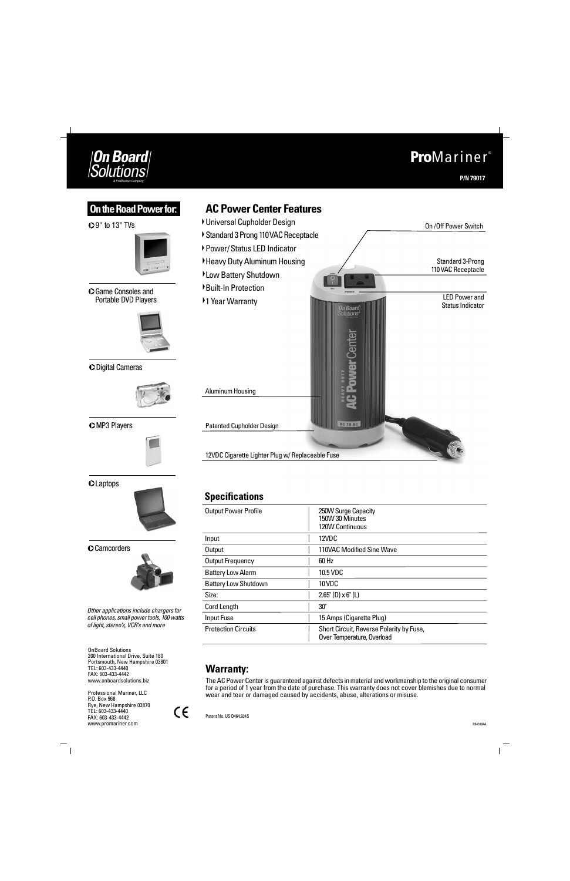## **Warranty:**

The AC Power Center is guaranteed against defects in material and workmanship to the original consumer for a period of 1 year from the date of purchase. This warranty does not cover blemishes due to normal wear and tear or damaged caused by accidents, abuse, alterations or misuse.

Other applications include chargers for cell phones, small power tools, 100 watts of light, stereo's, VCR's and more

| <b>Output Power Profile</b> | 250W Surge Capacity<br>150W 30 Minutes<br>120W Continuous              |
|-----------------------------|------------------------------------------------------------------------|
| Input                       | 12VDC                                                                  |
| <b>Output</b>               | 110VAC Modified Sine Wave                                              |
| Output Frequency            | 60 Hz                                                                  |
| <b>Battery Low Alarm</b>    | 10.5 VDC                                                               |
| <b>Battery Low Shutdown</b> | 10 VDC                                                                 |
| Size:                       | $2.65$ " (D) x 6" (L)                                                  |
| Cord Length                 | 30"                                                                    |
| Input Fuse                  | 15 Amps (Cigarette Plug)                                               |
| <b>Protection Circuits</b>  | Short Circuit, Reverse Polarity by Fuse,<br>Over Temperature, Overload |

### **Pro**Mariner ®**On Board** Solutions **P/N 79017 AC Power Center Features On the Road Power for:** Universal Cupholder Design 9" to 13" TVs On / Off Power Switch Standard 3 Prong 110VAC Receptacle ▶ Power/ Status LED Indicator Heavy Duty Aluminum Housing Standard 3-Prong 110VAC Receptacle Low Battery Shutdown Built-In Protection Game Consoles and LED Power and Portable DVD Players ▶1 Year Warranty Status Indicator n **Board**<br>Iutions werCenter Digital Cameras Aluminum Housing DC TO AC **CMP3 Players** Patented Cupholder Design 12VDC Cigarette Lighter Plug w/ Replaceable Fuse

## **CLaptops**



#### **C**Camcorders



## **Specifications**

OnBoard Solutions 200 International Drive, Suite 180 Portsmouth, New Hampshire 03801 TEL: 603-433-4440 FAX: 603-433-4442 www.onboardsolutions.biz

Patent No. US D464,934S

 $C \in$ 

R040104A

 $\begin{array}{c} - \\ 1 \end{array}$ 

Professional Mariner, LLC P.O. Box 968 Rye, New Hampshire 03870 TEL: 603-433-4440 FAX: 603-433-4442 www.promariner.com

 $\frac{1}{\sqrt{2}}$